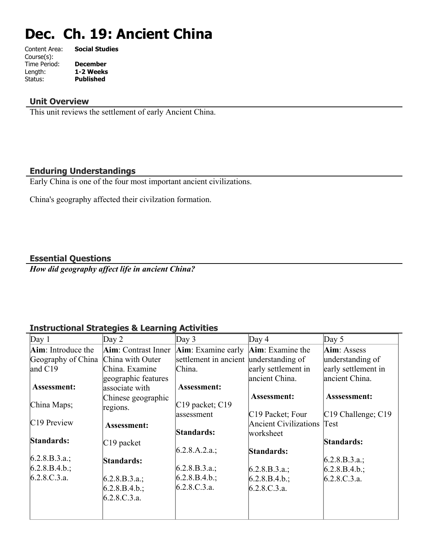# **Dec. Ch. 19: Ancient China**

| Content Area: | <b>Social Studies</b> |
|---------------|-----------------------|
| Course(s):    |                       |
| Time Period:  | <b>December</b>       |
| Length:       | 1-2 Weeks             |
| Status:       | <b>Published</b>      |
|               |                       |

## **Unit Overview**

This unit reviews the settlement of early Ancient China.

## **Enduring Understandings**

Early China is one of the four most important ancient civilizations.

China's geography affected their civilzation formation.

## **Essential Questions**

*How did geography affect life in ancient China?*

## **Instructional Strategies & Learning Activities**

| Day $1$                 | Day 2                       | Day 3                                                   | Day $4$                                          | Day $5$                         |
|-------------------------|-----------------------------|---------------------------------------------------------|--------------------------------------------------|---------------------------------|
| Aim: Introduce the      | <b>Aim</b> : Contrast Inner | $\text{Aim}$ : Examine early $\text{Aim}$ : Examine the |                                                  | Aim: Assess                     |
| Geography of China      | China with Outer            | settlement in ancient understanding of                  |                                                  | understanding of                |
| and $C19$               | China. Examine              | China.                                                  | early settlement in                              | early settlement in             |
|                         | geographic features         |                                                         | ancient China.                                   | ancient China.                  |
| <b>Assessment:</b>      | associate with              | <b>Assessment:</b>                                      |                                                  |                                 |
|                         | Chinese geographic          |                                                         | <b>Assessment:</b>                               | Asssessment:                    |
| China Maps;             | regions.                    | $C19$ packet; $C19$<br>assessment                       |                                                  |                                 |
| C <sub>19</sub> Preview |                             |                                                         | C19 Packet; Four<br><b>Ancient Civilizations</b> | $ C19$ Challenge; $C19$<br>Test |
|                         | <b>Assessment:</b>          | Standards:                                              | worksheet                                        |                                 |
| Standards:              | $ C19$ packet               |                                                         |                                                  | Standards:                      |
|                         |                             | $6.2.8.A.2.a.$ ;                                        | Standards:                                       |                                 |
| $6.2.8.B.3.a.$ ;        | Standards:                  |                                                         |                                                  | $6.2.8.B.3.a.$ ;                |
| $6.2.8.B.4.b.$ ;        |                             | [6.2.8.B.3.a.;                                          | $6.2.8.B.3.a.$ ;                                 | $6.2.8.B.4.b.$ ;                |
| 6.2.8.C.3.a.            | (6.2.8.B.3.a.);             | $6.2.8.B.4.b.$ ;                                        | $6.2.8.B.4.b.$ ;                                 | 6.2.8.C.3.a.                    |
|                         | $6.2.8.B.4.b.$ ;            | 6.2.8.C.3.a.                                            | 6.2.8.C.3.a.                                     |                                 |
|                         | 6.2.8.C.3.a.                |                                                         |                                                  |                                 |
|                         |                             |                                                         |                                                  |                                 |
|                         |                             |                                                         |                                                  |                                 |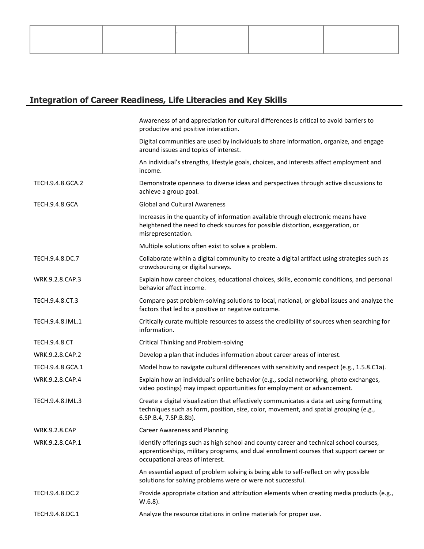# **Integration of Career Readiness, Life Literacies and Key Skills**

|                       | Awareness of and appreciation for cultural differences is critical to avoid barriers to<br>productive and positive interaction.                                                                                     |
|-----------------------|---------------------------------------------------------------------------------------------------------------------------------------------------------------------------------------------------------------------|
|                       | Digital communities are used by individuals to share information, organize, and engage<br>around issues and topics of interest.                                                                                     |
|                       | An individual's strengths, lifestyle goals, choices, and interests affect employment and<br>income.                                                                                                                 |
| TECH.9.4.8.GCA.2      | Demonstrate openness to diverse ideas and perspectives through active discussions to<br>achieve a group goal.                                                                                                       |
| <b>TECH.9.4.8.GCA</b> | <b>Global and Cultural Awareness</b>                                                                                                                                                                                |
|                       | Increases in the quantity of information available through electronic means have<br>heightened the need to check sources for possible distortion, exaggeration, or<br>misrepresentation.                            |
|                       | Multiple solutions often exist to solve a problem.                                                                                                                                                                  |
| TECH.9.4.8.DC.7       | Collaborate within a digital community to create a digital artifact using strategies such as<br>crowdsourcing or digital surveys.                                                                                   |
| WRK.9.2.8.CAP.3       | Explain how career choices, educational choices, skills, economic conditions, and personal<br>behavior affect income.                                                                                               |
| TECH.9.4.8.CT.3       | Compare past problem-solving solutions to local, national, or global issues and analyze the<br>factors that led to a positive or negative outcome.                                                                  |
| TECH.9.4.8.IML.1      | Critically curate multiple resources to assess the credibility of sources when searching for<br>information.                                                                                                        |
| <b>TECH.9.4.8.CT</b>  | Critical Thinking and Problem-solving                                                                                                                                                                               |
| WRK.9.2.8.CAP.2       | Develop a plan that includes information about career areas of interest.                                                                                                                                            |
| TECH.9.4.8.GCA.1      | Model how to navigate cultural differences with sensitivity and respect (e.g., 1.5.8.C1a).                                                                                                                          |
| WRK.9.2.8.CAP.4       | Explain how an individual's online behavior (e.g., social networking, photo exchanges,<br>video postings) may impact opportunities for employment or advancement.                                                   |
| TECH.9.4.8.IML.3      | Create a digital visualization that effectively communicates a data set using formatting<br>techniques such as form, position, size, color, movement, and spatial grouping (e.g.,<br>6.SP.B.4, 7.SP.B.8b).          |
| WRK.9.2.8.CAP         | <b>Career Awareness and Planning</b>                                                                                                                                                                                |
| WRK.9.2.8.CAP.1       | Identify offerings such as high school and county career and technical school courses,<br>apprenticeships, military programs, and dual enrollment courses that support career or<br>occupational areas of interest. |
|                       | An essential aspect of problem solving is being able to self-reflect on why possible<br>solutions for solving problems were or were not successful.                                                                 |
| TECH.9.4.8.DC.2       | Provide appropriate citation and attribution elements when creating media products (e.g.,<br>$W.6.8$ ).                                                                                                             |
| TECH.9.4.8.DC.1       | Analyze the resource citations in online materials for proper use.                                                                                                                                                  |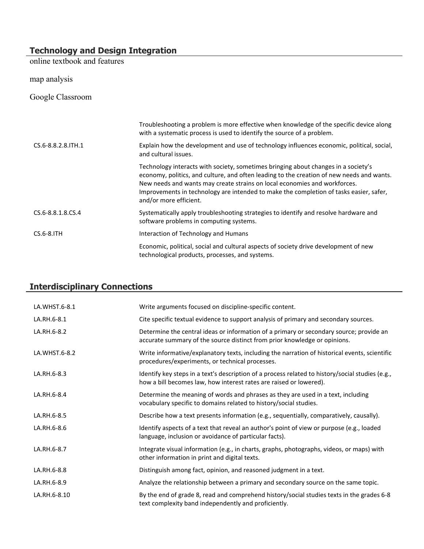## **Technology and Design Integration**

online textbook and features

map analysis

Google Classroom

|                      | Troubleshooting a problem is more effective when knowledge of the specific device along<br>with a systematic process is used to identify the source of a problem.                                                                                                                                                                                                                |
|----------------------|----------------------------------------------------------------------------------------------------------------------------------------------------------------------------------------------------------------------------------------------------------------------------------------------------------------------------------------------------------------------------------|
| CS.6-8.8.2.8. ITH. 1 | Explain how the development and use of technology influences economic, political, social,<br>and cultural issues.                                                                                                                                                                                                                                                                |
|                      | Technology interacts with society, sometimes bringing about changes in a society's<br>economy, politics, and culture, and often leading to the creation of new needs and wants.<br>New needs and wants may create strains on local economies and workforces.<br>Improvements in technology are intended to make the completion of tasks easier, safer,<br>and/or more efficient. |
| CS.6-8.8.1.8.CS.4    | Systematically apply troubleshooting strategies to identify and resolve hardware and<br>software problems in computing systems.                                                                                                                                                                                                                                                  |
| $CS.6 - 8.1TH$       | Interaction of Technology and Humans                                                                                                                                                                                                                                                                                                                                             |
|                      | Economic, political, social and cultural aspects of society drive development of new<br>technological products, processes, and systems.                                                                                                                                                                                                                                          |

## **Interdisciplinary Connections**

| LA.WHST.6-8.1 | Write arguments focused on discipline-specific content.                                                                                                                |
|---------------|------------------------------------------------------------------------------------------------------------------------------------------------------------------------|
| LA.RH.6-8.1   | Cite specific textual evidence to support analysis of primary and secondary sources.                                                                                   |
| LA.RH.6-8.2   | Determine the central ideas or information of a primary or secondary source; provide an<br>accurate summary of the source distinct from prior knowledge or opinions.   |
| LA.WHST.6-8.2 | Write informative/explanatory texts, including the narration of historical events, scientific<br>procedures/experiments, or technical processes.                       |
| LA.RH.6-8.3   | Identify key steps in a text's description of a process related to history/social studies (e.g.,<br>how a bill becomes law, how interest rates are raised or lowered). |
| LA.RH.6-8.4   | Determine the meaning of words and phrases as they are used in a text, including<br>vocabulary specific to domains related to history/social studies.                  |
| LA.RH.6-8.5   | Describe how a text presents information (e.g., sequentially, comparatively, causally).                                                                                |
| LA.RH.6-8.6   | Identify aspects of a text that reveal an author's point of view or purpose (e.g., loaded<br>language, inclusion or avoidance of particular facts).                    |
| LA.RH.6-8.7   | Integrate visual information (e.g., in charts, graphs, photographs, videos, or maps) with<br>other information in print and digital texts.                             |
| LA.RH.6-8.8   | Distinguish among fact, opinion, and reasoned judgment in a text.                                                                                                      |
| LA.RH.6-8.9   | Analyze the relationship between a primary and secondary source on the same topic.                                                                                     |
| LA.RH.6-8.10  | By the end of grade 8, read and comprehend history/social studies texts in the grades 6-8<br>text complexity band independently and proficiently.                      |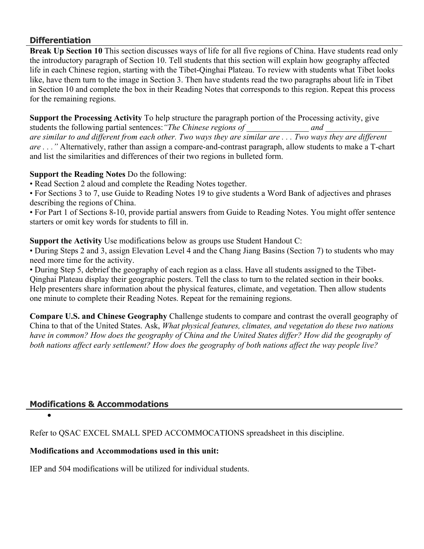## **Differentiation**

**Break Up Section 10** This section discusses ways of life for all five regions of China. Have students read only the introductory paragraph of Section 10. Tell students that this section will explain how geography affected life in each Chinese region, starting with the Tibet-Qinghai Plateau. To review with students what Tibet looks like, have them turn to the image in Section 3. Then have students read the two paragraphs about life in Tibet in Section 10 and complete the box in their Reading Notes that corresponds to this region. Repeat this process for the remaining regions.

**Support the Processing Activity** To help structure the paragraph portion of the Processing activity, give students the following partial sentences: "The Chinese regions of and and  $q$ *are similar to and different from each other. Two ways they are similar are . . . Two ways they are different are . . ."* Alternatively, rather than assign a compare-and-contrast paragraph, allow students to make a T-chart and list the similarities and differences of their two regions in bulleted form.

## **Support the Reading Notes** Do the following:

• Read Section 2 aloud and complete the Reading Notes together.

• For Sections 3 to 7, use Guide to Reading Notes 19 to give students a Word Bank of adjectives and phrases describing the regions of China.

• For Part 1 of Sections 8-10, provide partial answers from Guide to Reading Notes. You might offer sentence starters or omit key words for students to fill in.

**Support the Activity** Use modifications below as groups use Student Handout C:

• During Steps 2 and 3, assign Elevation Level 4 and the Chang Jiang Basins (Section 7) to students who may need more time for the activity.

• During Step 5, debrief the geography of each region as a class. Have all students assigned to the Tibet-Qinghai Plateau display their geographic posters. Tell the class to turn to the related section in their books. Help presenters share information about the physical features, climate, and vegetation. Then allow students one minute to complete their Reading Notes. Repeat for the remaining regions.

**Compare U.S. and Chinese Geography** Challenge students to compare and contrast the overall geography of China to that of the United States. Ask, *What physical features, climates, and vegetation do these two nations have in common? How does the geography of China and the United States differ? How did the geography of both nations affect early settlement? How does the geography of both nations affect the way people live?*

## **Modifications & Accommodations**

 $\bullet$ 

Refer to QSAC EXCEL SMALL SPED ACCOMMOCATIONS spreadsheet in this discipline.

### **Modifications and Accommodations used in this unit:**

IEP and 504 modifications will be utilized for individual students.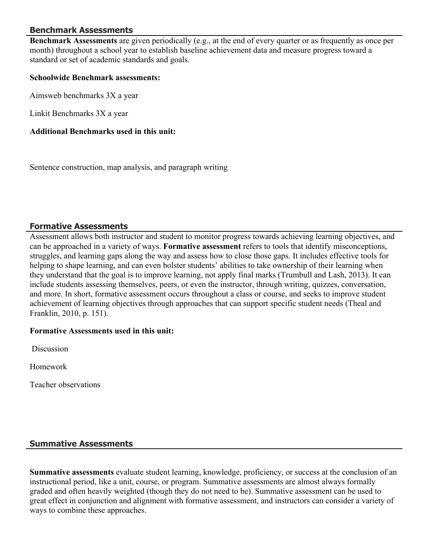## **Benchmark Assessments**

**Benchmark Assessments** are given periodically (e.g., at the end of every quarter or as frequently as once per month) throughout a school year to establish baseline achievement data and measure progress toward a standard or set of academic standards and goals.

#### **Schoolwide Benchmark assessments:**

Aimsweb benchmarks 3X a year

Linkit Benchmarks 3X a year

#### **Additional Benchmarks used in this unit:**

Sentence construction, map analysis, and paragraph writing

### **Formative Assessments**

Assessment allows both instructor and student to monitor progress towards achieving learning objectives, and can be approached in a variety of ways. **Formative assessment** refers to tools that identify misconceptions, struggles, and learning gaps along the way and assess how to close those gaps. It includes effective tools for helping to shape learning, and can even bolster students' abilities to take ownership of their learning when they understand that the goal is to improve learning, not apply final marks (Trumbull and Lash, 2013). It can include students assessing themselves, peers, or even the instructor, through writing, quizzes, conversation, and more. In short, formative assessment occurs throughout a class or course, and seeks to improve student achievement of learning objectives through approaches that can support specific student needs (Theal and Franklin, 2010, p. 151).

#### **Formative Assessments used in this unit:**

**Discussion** 

Homework

Teacher observations

### **Summative Assessments**

**Summative assessments** evaluate student learning, knowledge, proficiency, or success at the conclusion of an instructional period, like a unit, course, or program. Summative assessments are almost always formally graded and often heavily weighted (though they do not need to be). Summative assessment can be used to great effect in conjunction and alignment with formative assessment, and instructors can consider a variety of ways to combine these approaches.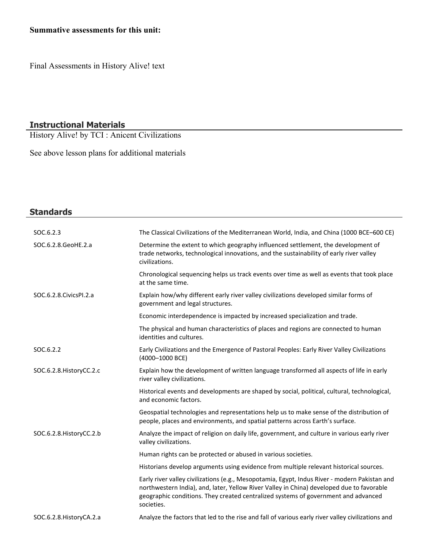## **Summative assessments for this unit:**

Final Assessments in History Alive! text

#### **Instructional Materials**

History Alive! by TCI : Anicent Civilizations

See above lesson plans for additional materials

| <b>Standards</b>          |                                                                                                                                                                                                                                                                                                |
|---------------------------|------------------------------------------------------------------------------------------------------------------------------------------------------------------------------------------------------------------------------------------------------------------------------------------------|
| SOC.6.2.3                 | The Classical Civilizations of the Mediterranean World, India, and China (1000 BCE-600 CE)                                                                                                                                                                                                     |
| SOC.6.2.8.GeoHE.2.a       | Determine the extent to which geography influenced settlement, the development of<br>trade networks, technological innovations, and the sustainability of early river valley<br>civilizations.                                                                                                 |
|                           | Chronological sequencing helps us track events over time as well as events that took place<br>at the same time.                                                                                                                                                                                |
| SOC.6.2.8. Civics PI.2.a  | Explain how/why different early river valley civilizations developed similar forms of<br>government and legal structures.                                                                                                                                                                      |
|                           | Economic interdependence is impacted by increased specialization and trade.                                                                                                                                                                                                                    |
|                           | The physical and human characteristics of places and regions are connected to human<br>identities and cultures.                                                                                                                                                                                |
| SOC.6.2.2                 | Early Civilizations and the Emergence of Pastoral Peoples: Early River Valley Civilizations<br>(4000-1000 BCE)                                                                                                                                                                                 |
| SOC.6.2.8. HistoryCC.2.c  | Explain how the development of written language transformed all aspects of life in early<br>river valley civilizations.                                                                                                                                                                        |
|                           | Historical events and developments are shaped by social, political, cultural, technological,<br>and economic factors.                                                                                                                                                                          |
|                           | Geospatial technologies and representations help us to make sense of the distribution of<br>people, places and environments, and spatial patterns across Earth's surface.                                                                                                                      |
| SOC.6.2.8. HistoryCC.2.b  | Analyze the impact of religion on daily life, government, and culture in various early river<br>valley civilizations.                                                                                                                                                                          |
|                           | Human rights can be protected or abused in various societies.                                                                                                                                                                                                                                  |
|                           | Historians develop arguments using evidence from multiple relevant historical sources.                                                                                                                                                                                                         |
|                           | Early river valley civilizations (e.g., Mesopotamia, Egypt, Indus River - modern Pakistan and<br>northwestern India), and, later, Yellow River Valley in China) developed due to favorable<br>geographic conditions. They created centralized systems of government and advanced<br>societies. |
| SOC.6.2.8. History CA.2.a | Analyze the factors that led to the rise and fall of various early river valley civilizations and                                                                                                                                                                                              |